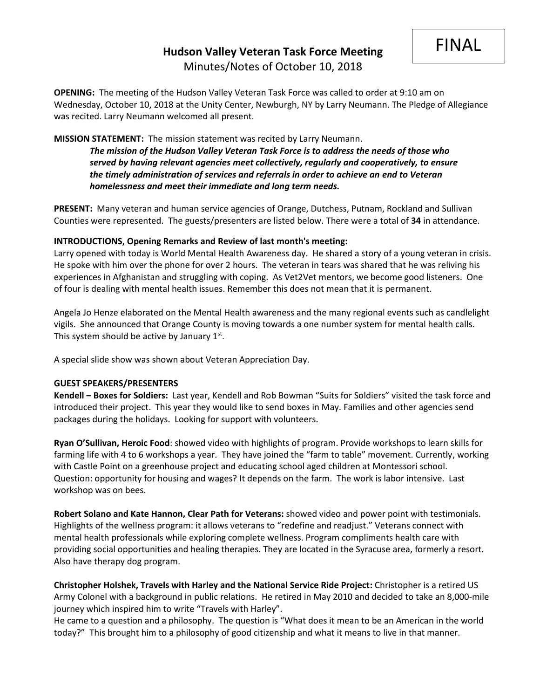FINAL

**OPENING:** The meeting of the Hudson Valley Veteran Task Force was called to order at 9:10 am on Wednesday, October 10, 2018 at the Unity Center, Newburgh, NY by Larry Neumann. The Pledge of Allegiance was recited. Larry Neumann welcomed all present.

# **MISSION STATEMENT:** The mission statement was recited by Larry Neumann.

*The mission of the Hudson Valley Veteran Task Force is to address the needs of those who served by having relevant agencies meet collectively, regularly and cooperatively, to ensure the timely administration of services and referrals in order to achieve an end to Veteran homelessness and meet their immediate and long term needs.* 

**PRESENT:** Many veteran and human service agencies of Orange, Dutchess, Putnam, Rockland and Sullivan Counties were represented. The guests/presenters are listed below. There were a total of **34** in attendance.

# **INTRODUCTIONS, Opening Remarks and Review of last month's meeting:**

Larry opened with today is World Mental Health Awareness day. He shared a story of a young veteran in crisis. He spoke with him over the phone for over 2 hours. The veteran in tears was shared that he was reliving his experiences in Afghanistan and struggling with coping. As Vet2Vet mentors, we become good listeners. One of four is dealing with mental health issues. Remember this does not mean that it is permanent.

Angela Jo Henze elaborated on the Mental Health awareness and the many regional events such as candlelight vigils. She announced that Orange County is moving towards a one number system for mental health calls. This system should be active by January  $1<sup>st</sup>$ .

A special slide show was shown about Veteran Appreciation Day.

## **GUEST SPEAKERS/PRESENTERS**

**Kendell – Boxes for Soldiers:** Last year, Kendell and Rob Bowman "Suits for Soldiers" visited the task force and introduced their project. This year they would like to send boxes in May. Families and other agencies send packages during the holidays. Looking for support with volunteers.

**Ryan O'Sullivan, Heroic Food**: showed video with highlights of program. Provide workshops to learn skills for farming life with 4 to 6 workshops a year. They have joined the "farm to table" movement. Currently, working with Castle Point on a greenhouse project and educating school aged children at Montessori school. Question: opportunity for housing and wages? It depends on the farm. The work is labor intensive. Last workshop was on bees.

**Robert Solano and Kate Hannon, Clear Path for Veterans:** showed video and power point with testimonials. Highlights of the wellness program: it allows veterans to "redefine and readjust." Veterans connect with mental health professionals while exploring complete wellness. Program compliments health care with providing social opportunities and healing therapies. They are located in the Syracuse area, formerly a resort. Also have therapy dog program.

**Christopher Holshek, Travels with Harley and the National Service Ride Project:** Christopher is a retired US Army Colonel with a background in public relations. He retired in May 2010 and decided to take an 8,000-mile journey which inspired him to write "Travels with Harley".

He came to a question and a philosophy. The question is "What does it mean to be an American in the world today?" This brought him to a philosophy of good citizenship and what it means to live in that manner.